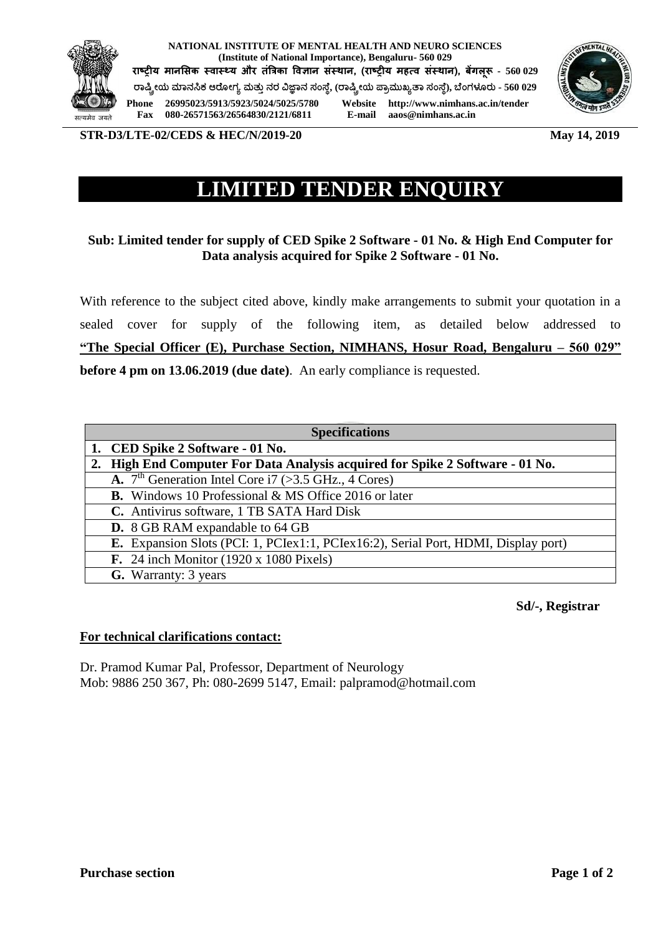

**NATIONAL INSTITUTE OF MENTAL HEALTH AND NEURO SCIENCES (Institute of National Importance), Bengaluru- 560 029**

**राष्ट्रीय मानसिक स्वास््य और तंत्रिका ववज्ञान िंस्थान, (राष्ट्रीय महत्व िंस्थान), बेंगलूरू - 560 029 ರಾಷ್ಟ್ರೀಯ ಮಾನಸಿಕ ಆರ ೀಗ್ಯ ಮತ್ತುನರ ವಿಜ್ಞಾನ ಸಂಸ್ ೆ, (ರಾಷ್ಟ್ರೀಯ ಪ್ಾಾಮತಖ್ಯತಾ ಸಂಸ್ ೆ), ಬ ಂಗ್ಳೂರತ - 560 029**



**Phone 26995023/5913/5923/5024/5025/5780 Website http://www.nimhans.ac.in/tender Fax 080-26571563/26564830/2121/6811** 

**STR-D3/LTE-02/CEDS & HEC/N/2019-20** May 14, 2019

## **LIMITED TENDER ENQUIRY**

## **Sub: Limited tender for supply of CED Spike 2 Software - 01 No. & High End Computer for Data analysis acquired for Spike 2 Software - 01 No.**

With reference to the subject cited above, kindly make arrangements to submit your quotation in a sealed cover for supply of the following item, as detailed below addressed to **"The Special Officer (E), Purchase Section, NIMHANS, Hosur Road, Bengaluru – 560 029" before 4 pm on 13.06.2019 (due date)**. An early compliance is requested.

| <b>Specifications</b> |                                                                                    |
|-----------------------|------------------------------------------------------------------------------------|
|                       | 1. CED Spike 2 Software - 01 No.                                                   |
| 2.                    | High End Computer For Data Analysis acquired for Spike 2 Software - 01 No.         |
|                       | <b>A.</b> $7^{\text{th}}$ Generation Intel Core i7 (>3.5 GHz., 4 Cores)            |
|                       | <b>B.</b> Windows 10 Professional & MS Office 2016 or later                        |
|                       | C. Antivirus software, 1 TB SATA Hard Disk                                         |
|                       | <b>D.</b> 8 GB RAM expandable to 64 GB                                             |
|                       | E. Expansion Slots (PCI: 1, PCIex1:1, PCIex16:2), Serial Port, HDMI, Display port) |
|                       | F. 24 inch Monitor $(1920 \times 1080$ Pixels)                                     |
|                       | <b>G.</b> Warranty: 3 years                                                        |

 **Sd/-, Registrar**

## **For technical clarifications contact:**

Dr. Pramod Kumar Pal, Professor, Department of Neurology Mob: 9886 250 367, Ph: 080-2699 5147, Email: palpramod@hotmail.com